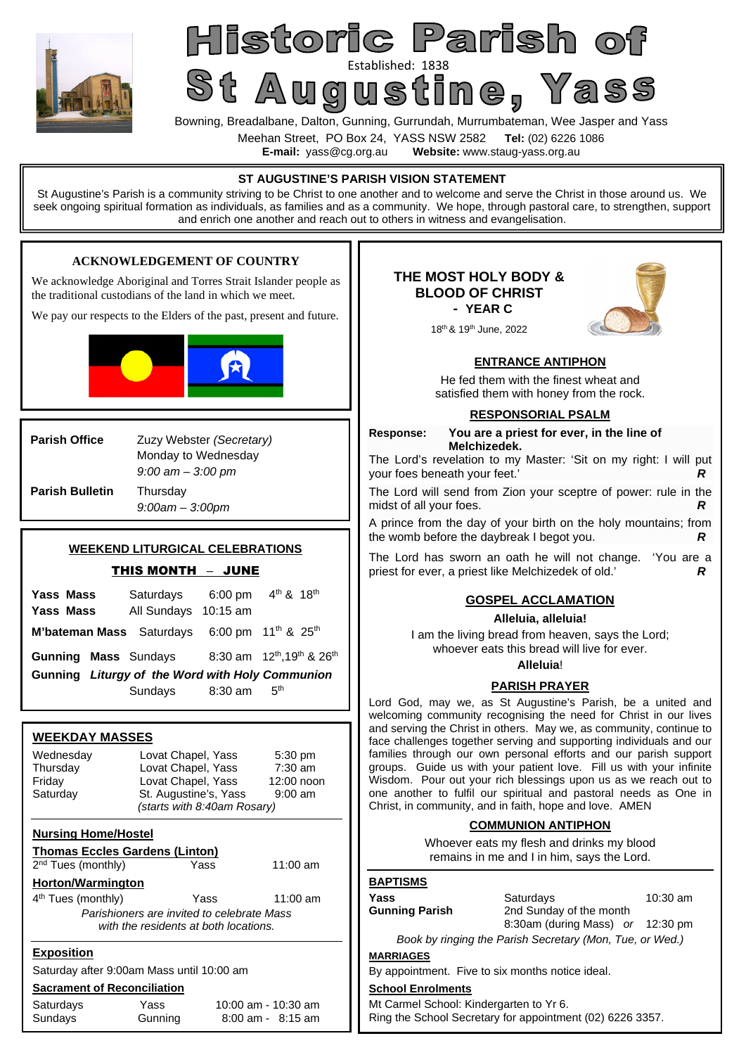

# Historic Parish of St Augustine Pass

Bowning, Breadalbane, Dalton, Gunning, Gurrundah, Murrumbateman, Wee Jasper and Yass

Meehan Street, PO Box 24, YASS NSW 2582 **Tel:** (02) 6226 1086

**E-mail:** yass@cg.org.au **Website:** www.staug-yass.org.au

#### **ENTRANCE ANTIPHON**  He fed them with the finest wheat and satisfied them with honey from the rock. **RESPONSORIAL PSALM Response: You are a priest for ever, in the line of Melchizedek.** The Lord's revelation to my Master: 'Sit on my right: I will put your foes beneath your feet.' *R* The Lord will send from Zion your sceptre of power: rule in the midst of all your foes. A prince from the day of your birth on the holy mountains; from the womb before the daybreak I begot you. *R* The Lord has sworn an oath he will not change. 'You are a priest for ever, a priest like Melchizedek of old.' *R*  **GOSPEL ACCLAMATION Alleluia, alleluia!**  I am the living bread from heaven, says the Lord; whoever eats this bread will live for ever. **Alleluia**! **PARISH PRAYER**  Lord God, may we, as St Augustine's Parish, be a united and welcoming community recognising the need for Christ in our lives and serving the Christ in others. May we, as community, continue to face challenges together serving and supporting individuals and our families through our own personal efforts and our parish support groups. Guide us with your patient love. Fill us with your infinite Wisdom. Pour out your rich blessings upon us as we reach out to one another to fulfil our spiritual and pastoral needs as One in Christ, in community, and in faith, hope and love. AMEN **COMMUNION ANTIPHON**  Whoever eats my flesh and drinks my blood remains in me and I in him, says the Lord. **BAPTISMS Yass** Saturdays 10:30 am<br> **Gunning Parish** 2nd Sunday of the month 2nd Sunday of the month 8:30am (during Mass) *or* 12:30 pm *Book by ringing the Parish Secretary (Mon, Tue, or Wed.)*  **MARRIAGES**  By appointment. Five to six months notice ideal. **School Enrolments**  Mt Carmel School: Kindergarten to Yr 6. Ring the School Secretary for appointment (02) 6226 3357. **ST AUGUSTINE'S PARISH VISION STATEMENT**  St Augustine's Parish is a community striving to be Christ to one another and to welcome and serve the Christ in those around us. We seek ongoing spiritual formation as individuals, as families and as a community. We hope, through pastoral care, to strengthen, support and enrich one another and reach out to others in witness and evangelisation. **Parish Office** Zuzy Webster *(Secretary)* Monday to Wednesday *9:00 am – 3:00 pm*  **Parish Bulletin** Thursday *9:00am – 3:00pm* **WEEKDAY MASSES**  Wednesday Lovat Chapel, Yass 5:30 pm<br>Thursdav Lovat Chapel, Yass 7:30 am Lovat Chapel, Yass 7:30 am<br>Lovat Chapel, Yass 12:00 noon Friday Lovat Chapel, Yass<br>
Saturday St. Augustine's, Yas St. Augustine's, Yass 9:00 am *(starts with 8:40am Rosary)*  **Nursing Home/Hostel Thomas Eccles Gardens (Linton)**  2<sup>nd</sup> Tues (monthly) **The State State Yass** 11:00 am **Horton/Warmington**  4 th Tues (monthly) Yass 11:00 am *Parishioners are invited to celebrate Mass with the residents at both locations.*  **Exposition**  Saturday after 9:00am Mass until 10:00 am **Sacrament of Reconciliation**  Saturdays Yass 10:00 am - 10:30 am Sundays Gunning 8:00 am - 8:15 am **WEEKEND LITURGICAL CELEBRATIONS**  THIS MONTH – JUNE **Yass Mass** Saturdays 6:00 pm  $4<sup>th</sup>$  & 18<sup>th</sup> **Yass Mass** All Sundays 10:15 am M'bateman Mass Saturdays 6:00 pm 11<sup>th</sup> & 25<sup>th</sup> Gunning Mass Sundays 8:30 am 12<sup>th</sup>,19<sup>th</sup> & 26<sup>th</sup> **Gunning** *Liturgy of the Word with Holy Communion*  Sundays 8:30 am 5<sup>th</sup> **THE MOST HOLY BODY & BLOOD OF CHRIST - YEAR C** 18th & 19th June, 2022 **ACKNOWLEDGEMENT OF COUNTRY**  We acknowledge Aboriginal and Torres Strait Islander people as the traditional custodians of the land in which we meet. We pay our respects to the Elders of the past, present and future.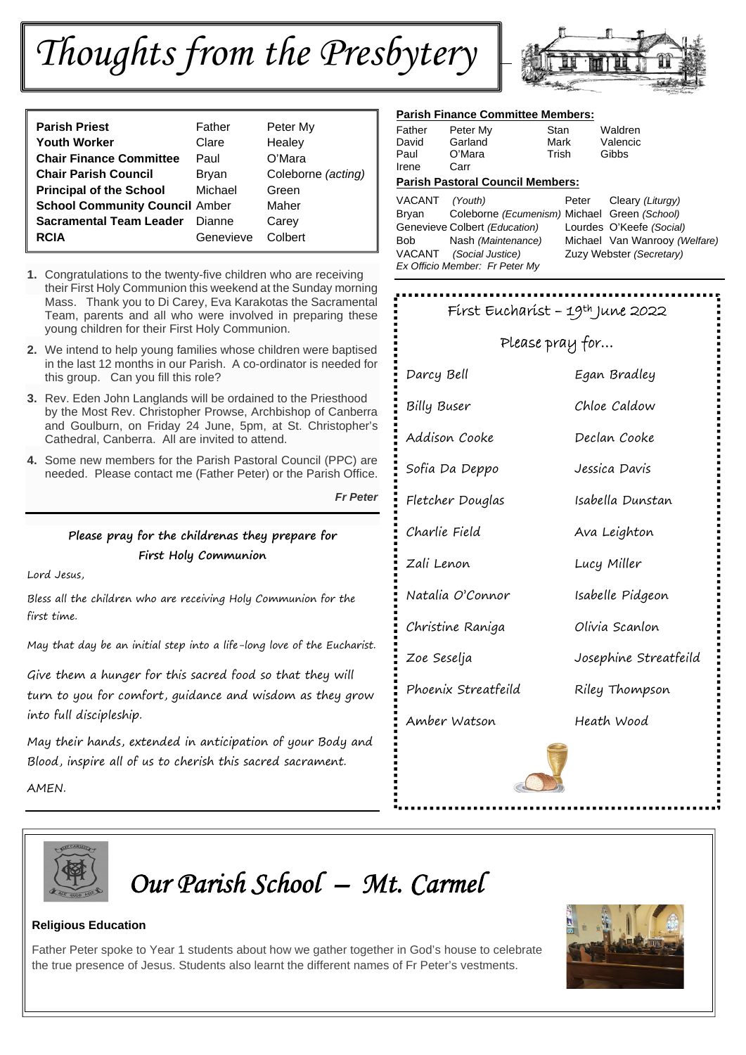# *Thoughts from the Presbytery*



| <b>Parish Priest</b>                  | Father    | Peter My           |
|---------------------------------------|-----------|--------------------|
| <b>Youth Worker</b>                   | Clare     | Healey             |
| <b>Chair Finance Committee</b>        | Paul      | O'Mara             |
| <b>Chair Parish Council</b>           | Bryan     | Coleborne (acting) |
| <b>Principal of the School</b>        | Michael   | Green              |
| <b>School Community Council Amber</b> |           | Maher              |
| <b>Sacramental Team Leader</b>        | Dianne    | Carey              |
| <b>RCIA</b>                           | Genevieve | Colbert            |

- **1.** Congratulations to the twenty-five children who are receiving their First Holy Communion this weekend at the Sunday morning Mass. Thank you to Di Carey, Eva Karakotas the Sacramental Team, parents and all who were involved in preparing these young children for their First Holy Communion.
- **2.** We intend to help young families whose children were baptised in the last 12 months in our Parish. A co-ordinator is needed for this group. Can you fill this role?
- **3.** Rev. Eden John Langlands will be ordained to the Priesthood by the Most Rev. Christopher Prowse, Archbishop of Canberra and Goulburn, on Friday 24 June, 5pm, at St. Christopher's Cathedral, Canberra. All are invited to attend.
- **4.** Some new members for the Parish Pastoral Council (PPC) are needed. Please contact me (Father Peter) or the Parish Office.

*Fr Peter* 

## **Please pray for the childrenas they prepare for First Holy Communion**

Lord Jesus,

Bless all the children who are receiving Holy Communion for the first time.

May that day be an initial step into a life-long love of the Eucharist.

Give them a hunger for this sacred food so that they will turn to you for comfort, guidance and wisdom as they grow into full discipleship.

May their hands, extended in anticipation of your Body and Blood, inspire all of us to cherish this sacred sacrament.

AMEN.

### **Parish Finance Committee Members:**

| Father        | Peter My       | Stan  | Waldren  |
|---------------|----------------|-------|----------|
| David         | Garland        | Mark  | Valencic |
| Paul<br>Irene | O'Mara<br>Carr | Trish | Gibbs    |

#### **Parish Pastoral Council Members:**

VACANT *(Youth)* Peter Cleary *(Liturgy)* Bryan Coleborne *(Ecumenism)* Michael Green *(School)* Genevieve Colbert *(Education)* Lourdes O'Keefe *(Social)* Bob Nash *(Maintenance)* Michael Van Wanrooy *(Welfare)*  VACANT *(Social Justice)* Zuzy Webster *(Secretary) Ex Officio Member: Fr Peter My* 

| Fírst Eucharíst - 19th June 2022 |                       |  |
|----------------------------------|-----------------------|--|
| Please pray for                  |                       |  |
| Darcy Bell                       | Egan Bradley          |  |
| Billy Buser                      | Chloe Caldow          |  |
| Addison Cooke                    | Declan Cooke          |  |
| Sofia Da Deppo                   | Jessica Davis         |  |
| Fletcher Douglas                 | Isabella Dunstan      |  |
| Charlie Field                    | Ava Leighton          |  |
| Zali Lenon                       | Lucy Miller           |  |
| Natalia O'Connor                 | Isabelle Pidgeon      |  |
| Christine Raniga                 | Olivia Scanlon        |  |
| Zoe Seselja                      | Josephine Streatfeild |  |
| Phoenix Streatfeild              | Riley Thompson        |  |
| Amber Watson                     | Heath Wood            |  |
|                                  |                       |  |
|                                  |                       |  |
|                                  |                       |  |



*Our Parish School – Mt. Carmel*

## **Religious Education**

Father Peter spoke to Year 1 students about how we gather together in God's house to celebrate the true presence of Jesus. Students also learnt the different names of Fr Peter's vestments.

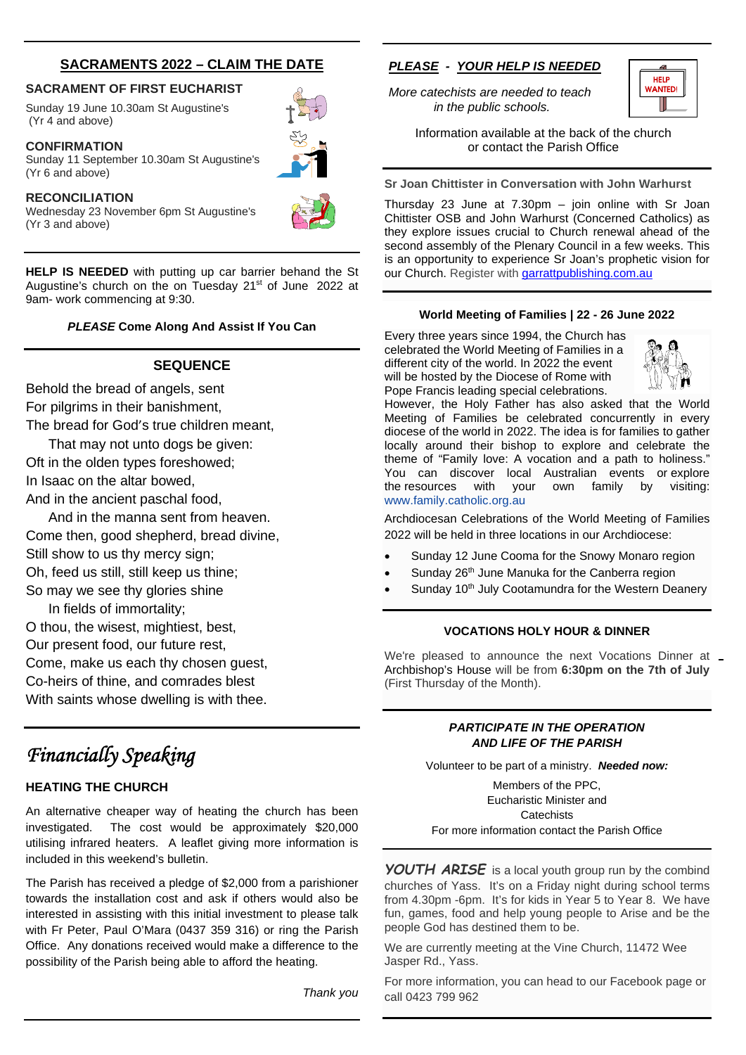## **SACRAMENTS 2022 – CLAIM THE DATE**

#### **SACRAMENT OF FIRST EUCHARIST**

Sunday 19 June 10.30am St Augustine's (Yr 4 and above)

#### **CONFIRMATION**

Sunday 11 September 10.30am St Augustine's (Yr 6 and above)

#### **RECONCILIATION**

Wednesday 23 November 6pm St Augustine's (Yr 3 and above)

**HELP IS NEEDED** with putting up car barrier behand the St Augustine's church on the on Tuesday 21<sup>st</sup> of June 2022 at 9am- work commencing at 9:30.

#### *PLEASE* **Come Along And Assist If You Can**

#### **SEQUENCE**

Behold the bread of angels, sent For pilgrims in their banishment, The bread for God's true children meant,

That may not unto dogs be given: Oft in the olden types foreshowed; In Isaac on the altar bowed, And in the ancient paschal food,

And in the manna sent from heaven. Come then, good shepherd, bread divine, Still show to us thy mercy sign; Oh, feed us still, still keep us thine; So may we see thy glories shine

In fields of immortality; O thou, the wisest, mightiest, best, Our present food, our future rest, Come, make us each thy chosen guest, Co-heirs of thine, and comrades blest With saints whose dwelling is with thee.

## *Financially Speaking*

#### **HEATING THE CHURCH**

An alternative cheaper way of heating the church has been investigated. The cost would be approximately \$20,000 utilising infrared heaters. A leaflet giving more information is included in this weekend's bulletin.

The Parish has received a pledge of \$2,000 from a parishioner towards the installation cost and ask if others would also be interested in assisting with this initial investment to please talk with Fr Peter, Paul O'Mara (0437 359 316) or ring the Parish Office. Any donations received would make a difference to the possibility of the Parish being able to afford the heating.

*Thank you* 

### *PLEASE - YOUR HELP IS NEEDED*

*More catechists are needed to teach in the public schools.* 



Information available at the back of the church or contact the Parish Office

**Sr Joan Chittister in Conversation with John Warhurst** 

Thursday 23 June at 7.30pm – join online with Sr Joan Chittister OSB and John Warhurst (Concerned Catholics) as they explore issues crucial to Church renewal ahead of the second assembly of the Plenary Council in a few weeks. This is an opportunity to experience Sr Joan's prophetic vision for our Church. Register with garrattpublishing.com.au

#### **World Meeting of Families | 22 - 26 June 2022**

Every three years since 1994, the Church has celebrated the World Meeting of Families in a different city of the world. In 2022 the event will be hosted by the Diocese of Rome with Pope Francis leading special celebrations.



However, the Holy Father has also asked that the World Meeting of Families be celebrated concurrently in every diocese of the world in 2022. The idea is for families to gather locally around their bishop to explore and celebrate the theme of "Family love: A vocation and a path to holiness." You can discover local Australian events or explore the resources with your own family by visiting: the resources with your own family by visiting: www.family.catholic.org.au

Archdiocesan Celebrations of the World Meeting of Families 2022 will be held in three locations in our Archdiocese:

- Sunday 12 June Cooma for the Snowy Monaro region
- Sunday 26<sup>th</sup> June Manuka for the Canberra region
- Sunday 10<sup>th</sup> July Cootamundra for the Western Deanery

#### **VOCATIONS HOLY HOUR & DINNER**

We're pleased to announce the next Vocations Dinner at Archbishop's House will be from **6:30pm on the 7th of July** (First Thursday of the Month).

#### *PARTICIPATE IN THE OPERATION AND LIFE OF THE PARISH*

Volunteer to be part of a ministry. *Needed now:*

Members of the PPC, Eucharistic Minister and **Catechists** For more information contact the Parish Office

*YOUTH ARISE* is a local youth group run by the combind churches of Yass. It's on a Friday night during school terms from 4.30pm -6pm. It's for kids in Year 5 to Year 8. We have fun, games, food and help young people to Arise and be the people God has destined them to be.

We are currently meeting at the Vine Church, 11472 Wee Jasper Rd., Yass.

For more information, you can head to our Facebook page or call 0423 799 962



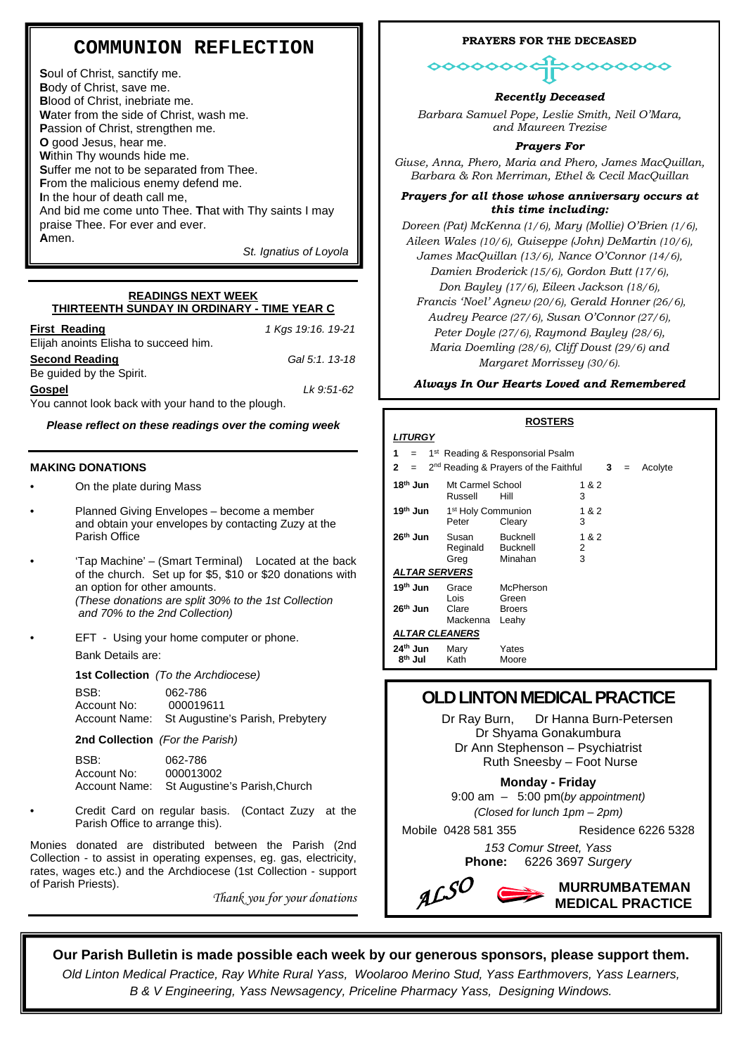## **COMMUNION REFLECTION**

**S**oul of Christ, sanctify me. **B**ody of Christ, save me. **B**lood of Christ, inebriate me. **W**ater from the side of Christ, wash me. **P**assion of Christ, strengthen me. **O** good Jesus, hear me. **W**ithin Thy wounds hide me. **S**uffer me not to be separated from Thee. **F**rom the malicious enemy defend me. **I**n the hour of death call me, And bid me come unto Thee. **T**hat with Thy saints I may praise Thee. For ever and ever. **A**men.

*St. Ignatius of Loyola* 

#### **READINGS NEXT WEEK THIRTEENTH SUNDAY IN ORDINARY - TIME YEAR C**

| <b>First Reading</b>                              | 1 Kgs 19:16. 19-21 |
|---------------------------------------------------|--------------------|
| Elijah anoints Elisha to succeed him.             |                    |
| <b>Second Reading</b>                             | Gal 5:1, 13-18     |
| Be quided by the Spirit.                          |                    |
| Gospel                                            | Lk 9:51-62         |
| You cannot look hack with your hand to the plough |                    |

You cannot look back with your hand to the plough.

*Please reflect on these readings over the coming week* 

#### **MAKING DONATIONS**

- On the plate during Mass
- Planned Giving Envelopes become a member and obtain your envelopes by contacting Zuzy at the Parish Office
- 'Tap Machine' (Smart Terminal) Located at the back of the church. Set up for \$5, \$10 or \$20 donations with an option for other amounts. *(These donations are split 30% to the 1st Collection and 70% to the 2nd Collection)*
	- EFT Using your home computer or phone.

Bank Details are:

**1st Collection** *(To the Archdiocese)*

BSB: 062-786 Account No: 000019611 Account Name: St Augustine's Parish, Prebytery

**2nd Collection** *(For the Parish)*

BSB: 062-786 Account No: 000013002 Account Name: St Augustine's Parish,Church

• Credit Card on regular basis. (Contact Zuzy at the Parish Office to arrange this).

Monies donated are distributed between the Parish (2nd Collection - to assist in operating expenses, eg. gas, electricity, rates, wages etc.) and the Archdiocese (1st Collection - support of Parish Priests).

*Thank you for your donations* 

#### **PRAYERS FOR THE DECEASED**

०००००००

*Recently Deceased* 

*Barbara Samuel Pope, Leslie Smith, Neil O'Mara, and Maureen Trezise* 

#### *Prayers For*

*Giuse, Anna, Phero, Maria and Phero, James MacQuillan, Barbara & Ron Merriman, Ethel & Cecil MacQuillan*

#### *Prayers for all those whose anniversary occurs at this time including:*

*Doreen (Pat) McKenna (1/6), Mary (Mollie) O'Brien (1/6), Aileen Wales (10/6), Guiseppe (John) DeMartin (10/6), James MacQuillan (13/6), Nance O'Connor (14/6), Damien Broderick (15/6), Gordon Butt (17/6), Don Bayley (17/6), Eileen Jackson (18/6), Francis 'Noel' Agnew (20/6), Gerald Honner (26/6), Audrey Pearce (27/6), Susan O'Connor (27/6), Peter Doyle (27/6), Raymond Bayley (28/6), Maria Doemling (28/6), Cliff Doust (29/6) and Margaret Morrissey (30/6).* 

*Always In Our Hearts Loved and Remembered* 

|                                                          |                                         | <b>ROSTERS</b>                                    |                 |     |         |
|----------------------------------------------------------|-----------------------------------------|---------------------------------------------------|-----------------|-----|---------|
| LITURGY                                                  |                                         |                                                   |                 |     |         |
| 1 <sup>st</sup> Reading & Responsorial Psalm<br>1<br>$=$ |                                         |                                                   |                 |     |         |
| 2                                                        |                                         | 2 <sup>nd</sup> Reading & Prayers of the Faithful | 3               | $=$ | Acolyte |
| 18 <sup>th</sup> Jun                                     | Mt Carmel School<br>Russell             | Hill                                              | 1 & 2<br>3      |     |         |
| 19th Jun                                                 | 1 <sup>st</sup> Holy Communion<br>Peter | Cleary                                            | 1 & 2<br>3      |     |         |
| 26 <sup>th</sup> Jun                                     | Susan<br>Reginald<br>Greg               | <b>Bucknell</b><br><b>Bucknell</b><br>Minahan     | 1 & 2<br>2<br>3 |     |         |
| ALTAR SERVERS                                            |                                         |                                                   |                 |     |         |
| 19 <sup>th</sup> Jun                                     | Grace<br>l ois                          | McPherson<br>Green                                |                 |     |         |
| 26 <sup>th</sup> Jun                                     | Clare<br>Mackenna                       | <b>Broers</b><br>Leahy                            |                 |     |         |
| <b>ALTAR CLEANERS</b>                                    |                                         |                                                   |                 |     |         |
| 24 <sup>th</sup> Jun<br>8 <sup>th</sup> Jul              | Mary<br>Kath                            | Yates<br>Moore                                    |                 |     |         |

## **OLD LINTON MEDICAL PRACTICE**

 Dr Ray Burn, Dr Hanna Burn-Petersen Dr Shyama Gonakumbura Dr Ann Stephenson – Psychiatrist Ruth Sneesby – Foot Nurse

**Monday - Friday**

9:00 am – 5:00 pm(*by appointment) (Closed for lunch 1pm – 2pm)* 

Mobile 0428 581 355 Residence 6226 5328

*153 Comur Street, Yass*  **Phone:** 6226 3697 *Surgery*



## **Our Parish Bulletin is made possible each week by our generous sponsors, please support them.**

*Old Linton Medical Practice, Ray White Rural Yass, Woolaroo Merino Stud, Yass Earthmovers, Yass Learners, B & V Engineering, Yass Newsagency, Priceline Pharmacy Yass, Designing Windows.*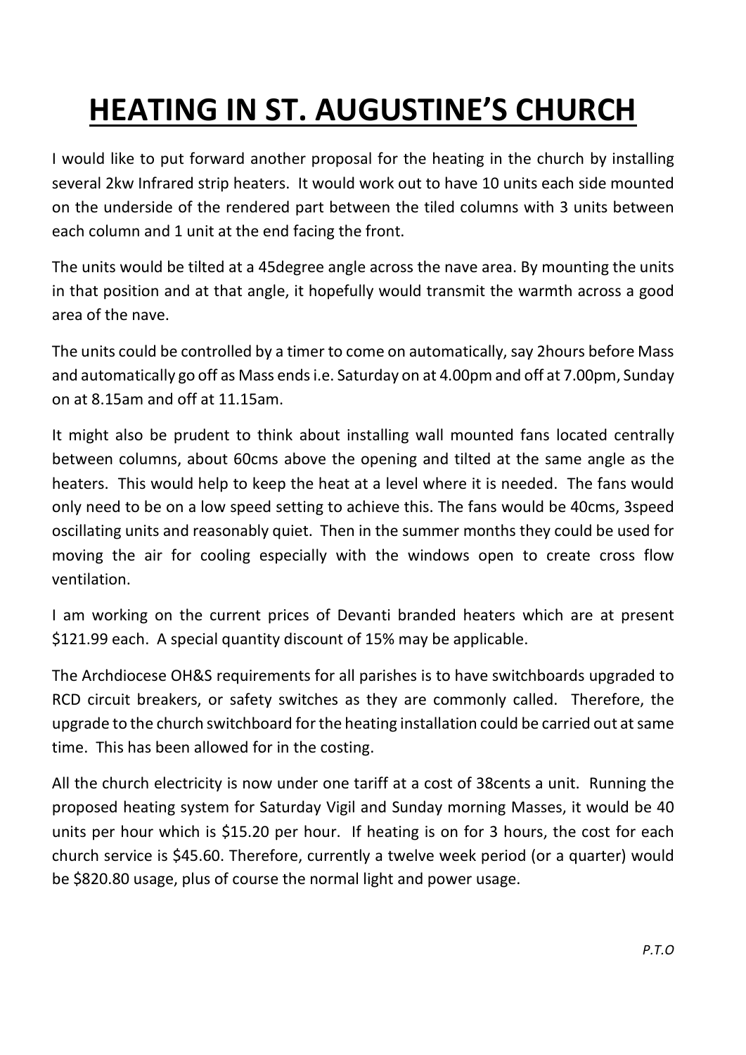## **HEATING IN ST. AUGUSTINE'S CHURCH**

I would like to put forward another proposal for the heating in the church by installing several 2kw Infrared strip heaters. It would work out to have 10 units each side mounted on the underside of the rendered part between the tiled columns with 3 units between each column and 1 unit at the end facing the front.

The units would be tilted at a 45degree angle across the nave area. By mounting the units in that position and at that angle, it hopefully would transmit the warmth across a good area of the nave.

The units could be controlled by a timer to come on automatically, say 2hours before Mass and automatically go off as Mass ends i.e. Saturday on at 4.00pm and off at 7.00pm, Sunday on at 8.15am and off at 11.15am.

It might also be prudent to think about installing wall mounted fans located centrally between columns, about 60cms above the opening and tilted at the same angle as the heaters. This would help to keep the heat at a level where it is needed. The fans would only need to be on a low speed setting to achieve this. The fans would be 40cms, 3speed oscillating units and reasonably quiet. Then in the summer months they could be used for moving the air for cooling especially with the windows open to create cross flow ventilation.

I am working on the current prices of Devanti branded heaters which are at present \$121.99 each. A special quantity discount of 15% may be applicable.

The Archdiocese OH&S requirements for all parishes is to have switchboards upgraded to RCD circuit breakers, or safety switches as they are commonly called. Therefore, the upgrade to the church switchboard for the heating installation could be carried out at same time. This has been allowed for in the costing.

All the church electricity is now under one tariff at a cost of 38cents a unit. Running the proposed heating system for Saturday Vigil and Sunday morning Masses, it would be 40 units per hour which is \$15.20 per hour. If heating is on for 3 hours, the cost for each church service is \$45.60. Therefore, currently a twelve week period (or a quarter) would be \$820.80 usage, plus of course the normal light and power usage.